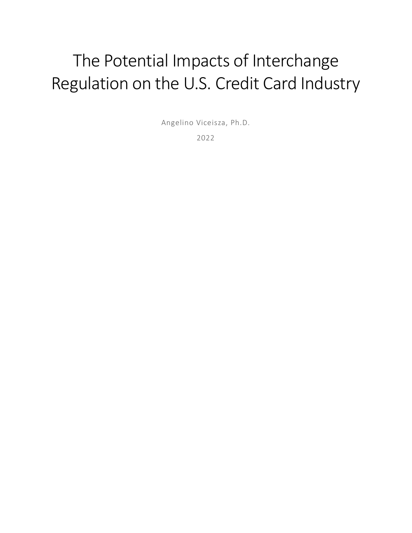# The Potential Impacts of Interchange Regulation on the U.S. Credit Card Industry

Angelino Viceisza, Ph.D.

2022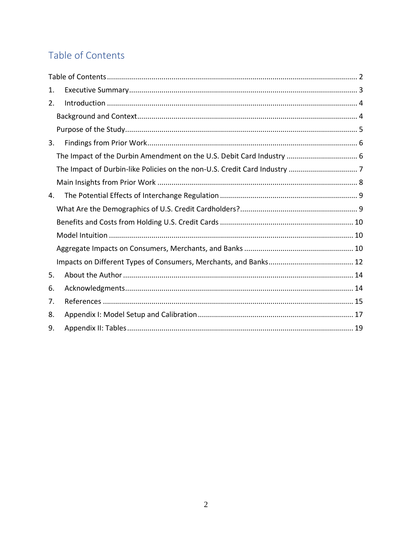# <span id="page-1-0"></span>Table of Contents

| 1. |  |
|----|--|
| 2. |  |
|    |  |
|    |  |
| 3. |  |
|    |  |
|    |  |
|    |  |
| 4. |  |
|    |  |
|    |  |
|    |  |
|    |  |
|    |  |
| 5. |  |
| 6. |  |
| 7. |  |
| 8. |  |
| 9. |  |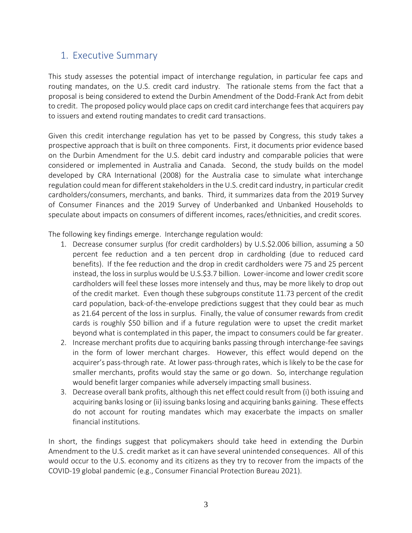## <span id="page-2-0"></span>1. Executive Summary

This study assesses the potential impact of interchange regulation, in particular fee caps and routing mandates, on the U.S. credit card industry. The rationale stems from the fact that a proposal is being considered to extend the Durbin Amendment of the Dodd-Frank Act from debit to credit. The proposed policy would place caps on credit card interchange fees that acquirers pay to issuers and extend routing mandates to credit card transactions.

Given this credit interchange regulation has yet to be passed by Congress, this study takes a prospective approach that is built on three components. First, it documents prior evidence based on the Durbin Amendment for the U.S. debit card industry and comparable policies that were considered or implemented in Australia and Canada. Second, the study builds on the model developed by CRA International (2008) for the Australia case to simulate what interchange regulation could mean for different stakeholders in the U.S. credit card industry, in particular credit cardholders/consumers, merchants, and banks. Third, it summarizes data from the 2019 Survey of Consumer Finances and the 2019 Survey of Underbanked and Unbanked Households to speculate about impacts on consumers of different incomes, races/ethnicities, and credit scores.

The following key findings emerge. Interchange regulation would:

- 1. Decrease consumer surplus (for credit cardholders) by U.S.\$2.006 billion, assuming a 50 percent fee reduction and a ten percent drop in cardholding (due to reduced card benefits). If the fee reduction and the drop in credit cardholders were 75 and 25 percent instead, the loss in surplus would be U.S.\$3.7 billion. Lower-income and lower credit score cardholders will feel these losses more intensely and thus, may be more likely to drop out of the credit market. Even though these subgroups constitute 11.73 percent of the credit card population, back-of-the-envelope predictions suggest that they could bear as much as 21.64 percent of the loss in surplus. Finally, the value of consumer rewards from credit cards is roughly \$50 billion and if a future regulation were to upset the credit market beyond what is contemplated in this paper, the impact to consumers could be far greater.
- 2. Increase merchant profits due to acquiring banks passing through interchange-fee savings in the form of lower merchant charges. However, this effect would depend on the acquirer's pass-through rate. At lower pass-through rates, which is likely to be the case for smaller merchants, profits would stay the same or go down. So, interchange regulation would benefit larger companies while adversely impacting small business.
- 3. Decrease overall bank profits, although this net effect could result from (i) both issuing and acquiring banks losing or (ii) issuing banks losing and acquiring banks gaining. These effects do not account for routing mandates which may exacerbate the impacts on smaller financial institutions.

In short, the findings suggest that policymakers should take heed in extending the Durbin Amendment to the U.S. credit market as it can have several unintended consequences. All of this would occur to the U.S. economy and its citizens as they try to recover from the impacts of the COVID-19 global pandemic (e.g., Consumer Financial Protection Bureau 2021).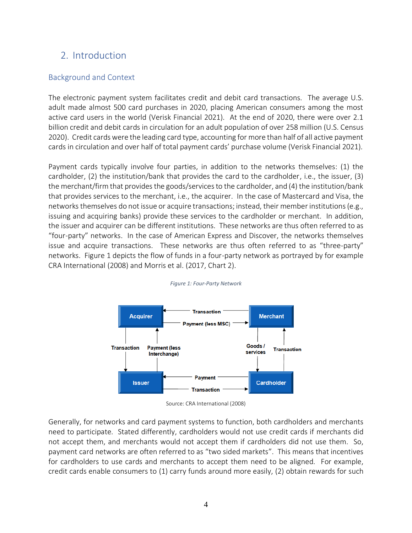## <span id="page-3-0"></span>2. Introduction

#### <span id="page-3-1"></span>Background and Context

The electronic payment system facilitates credit and debit card transactions. The average U.S. adult made almost 500 card purchases in 2020, placing American consumers among the most active card users in the world (Verisk Financial 2021). At the end of 2020, there were over 2.1 billion credit and debit cards in circulation for an adult population of over 258 million (U.S. Census 2020). Credit cards were the leading card type, accounting for more than half of all active payment cards in circulation and over half of total payment cards' purchase volume (Verisk Financial 2021).

Payment cards typically involve four parties, in addition to the networks themselves: (1) the cardholder, (2) the institution/bank that provides the card to the cardholder, i.e., the issuer, (3) the merchant/firm that provides the goods/services to the cardholder, and (4) the institution/bank that provides services to the merchant, i.e., the acquirer. In the case of Mastercard and Visa, the networks themselves do not issue or acquire transactions; instead, their member institutions (e.g., issuing and acquiring banks) provide these services to the cardholder or merchant. In addition, the issuer and acquirer can be different institutions. These networks are thus often referred to as "four-party" networks. In the case of American Express and Discover, the networks themselves issue and acquire transactions. These networks are thus often referred to as "three-party" networks. [Figure 1](#page-3-2) depicts the flow of funds in a four-party network as portrayed by for example CRA International (2008) and Morris et al. (2017, Chart 2).

<span id="page-3-2"></span>

#### *Figure 1: Four-Party Network*

Source: CRA International (2008)

Generally, for networks and card payment systems to function, both cardholders and merchants need to participate. Stated differently, cardholders would not use credit cards if merchants did not accept them, and merchants would not accept them if cardholders did not use them. So, payment card networks are often referred to as "two sided markets". This means that incentives for cardholders to use cards and merchants to accept them need to be aligned. For example, credit cards enable consumers to (1) carry funds around more easily, (2) obtain rewards for such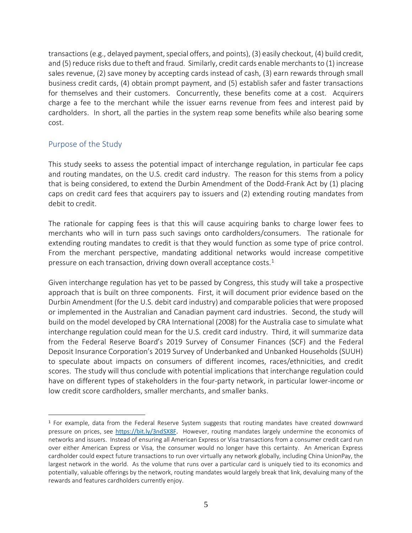transactions (e.g., delayed payment, special offers, and points), (3) easily checkout, (4) build credit, and (5) reduce risks due to theft and fraud. Similarly, credit cards enable merchants to (1) increase sales revenue, (2) save money by accepting cards instead of cash, (3) earn rewards through small business credit cards, (4) obtain prompt payment, and (5) establish safer and faster transactions for themselves and their customers. Concurrently, these benefits come at a cost. Acquirers charge a fee to the merchant while the issuer earns revenue from fees and interest paid by cardholders. In short, all the parties in the system reap some benefits while also bearing some cost.

### <span id="page-4-0"></span>Purpose of the Study

This study seeks to assess the potential impact of interchange regulation, in particular fee caps and routing mandates, on the U.S. credit card industry. The reason for this stems from a policy that is being considered, to extend the Durbin Amendment of the Dodd-Frank Act by (1) placing caps on credit card fees that acquirers pay to issuers and (2) extending routing mandates from debit to credit.

The rationale for capping fees is that this will cause acquiring banks to charge lower fees to merchants who will in turn pass such savings onto cardholders/consumers. The rationale for extending routing mandates to credit is that they would function as some type of price control. From the merchant perspective, mandating additional networks would increase competitive pressure on each transaction, driving down overall acceptance costs. $<sup>1</sup>$ </sup>

Given interchange regulation has yet to be passed by Congress, this study will take a prospective approach that is built on three components. First, it will document prior evidence based on the Durbin Amendment (for the U.S. debit card industry) and comparable policies that were proposed or implemented in the Australian and Canadian payment card industries. Second, the study will build on the model developed by CRA International (2008) for the Australia case to simulate what interchange regulation could mean for the U.S. credit card industry. Third, it will summarize data from the Federal Reserve Board's 2019 Survey of Consumer Finances (SCF) and the Federal Deposit Insurance Corporation's 2019 Survey of Underbanked and Unbanked Households (SUUH) to speculate about impacts on consumers of different incomes, races/ethnicities, and credit scores. The study will thus conclude with potential implications that interchange regulation could have on different types of stakeholders in the four-party network, in particular lower-income or low credit score cardholders, smaller merchants, and smaller banks.

<sup>1</sup> For example, data from the Federal Reserve System suggests that routing mandates have created downward pressure on prices, see [https://bit.ly/3ndSX8F.](https://bit.ly/3ndSX8F) However, routing mandates largely undermine the economics of networks and issuers. Instead of ensuring all American Express or Visa transactions from a consumer credit card run over either American Express or Visa, the consumer would no longer have this certainty. An American Express cardholder could expect future transactions to run over virtually any network globally, including China UnionPay, the largest network in the world. As the volume that runs over a particular card is uniquely tied to its economics and potentially, valuable offerings by the network, routing mandates would largely break that link, devaluing many of the rewards and features cardholders currently enjoy.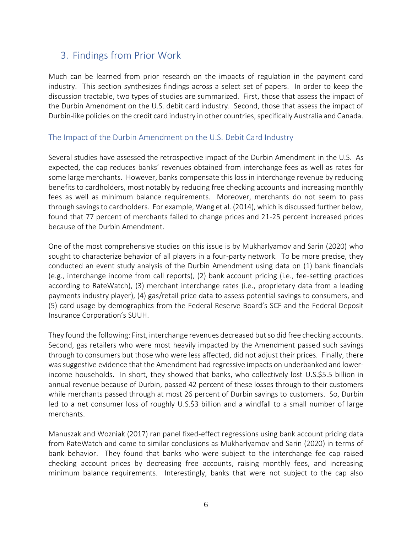# <span id="page-5-0"></span>3. Findings from Prior Work

Much can be learned from prior research on the impacts of regulation in the payment card industry. This section synthesizes findings across a select set of papers. In order to keep the discussion tractable, two types of studies are summarized. First, those that assess the impact of the Durbin Amendment on the U.S. debit card industry. Second, those that assess the impact of Durbin-like policies on the credit card industry in other countries, specifically Australia and Canada.

### <span id="page-5-1"></span>The Impact of the Durbin Amendment on the U.S. Debit Card Industry

Several studies have assessed the retrospective impact of the Durbin Amendment in the U.S. As expected, the cap reduces banks' revenues obtained from interchange fees as well as rates for some large merchants. However, banks compensate this loss in interchange revenue by reducing benefits to cardholders, most notably by reducing free checking accounts and increasing monthly fees as well as minimum balance requirements. Moreover, merchants do not seem to pass through savings to cardholders. For example, Wang et al. (2014), which is discussed further below, found that 77 percent of merchants failed to change prices and 21-25 percent increased prices because of the Durbin Amendment.

One of the most comprehensive studies on this issue is by Mukharlyamov and Sarin (2020) who sought to characterize behavior of all players in a four-party network. To be more precise, they conducted an event study analysis of the Durbin Amendment using data on (1) bank financials (e.g., interchange income from call reports), (2) bank account pricing (i.e., fee-setting practices according to RateWatch), (3) merchant interchange rates (i.e., proprietary data from a leading payments industry player), (4) gas/retail price data to assess potential savings to consumers, and (5) card usage by demographics from the Federal Reserve Board's SCF and the Federal Deposit Insurance Corporation's SUUH.

They found the following: First, interchange revenues decreased but so did free checking accounts. Second, gas retailers who were most heavily impacted by the Amendment passed such savings through to consumers but those who were less affected, did not adjust their prices. Finally, there was suggestive evidence that the Amendment had regressive impacts on underbanked and lowerincome households. In short, they showed that banks, who collectively lost U.S.\$5.5 billion in annual revenue because of Durbin, passed 42 percent of these losses through to their customers while merchants passed through at most 26 percent of Durbin savings to customers. So, Durbin led to a net consumer loss of roughly U.S.\$3 billion and a windfall to a small number of large merchants.

Manuszak and Wozniak (2017) ran panel fixed-effect regressions using bank account pricing data from RateWatch and came to similar conclusions as Mukharlyamov and Sarin (2020) in terms of bank behavior. They found that banks who were subject to the interchange fee cap raised checking account prices by decreasing free accounts, raising monthly fees, and increasing minimum balance requirements. Interestingly, banks that were not subject to the cap also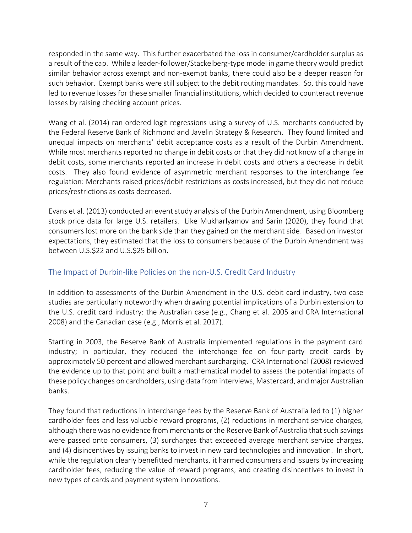responded in the same way. This further exacerbated the loss in consumer/cardholder surplus as a result of the cap. While a leader-follower/Stackelberg-type model in game theory would predict similar behavior across exempt and non-exempt banks, there could also be a deeper reason for such behavior. Exempt banks were still subject to the debit routing mandates. So, this could have led to revenue losses for these smaller financial institutions, which decided to counteract revenue losses by raising checking account prices.

Wang et al. (2014) ran ordered logit regressions using a survey of U.S. merchants conducted by the Federal Reserve Bank of Richmond and Javelin Strategy & Research. They found limited and unequal impacts on merchants' debit acceptance costs as a result of the Durbin Amendment. While most merchants reported no change in debit costs or that they did not know of a change in debit costs, some merchants reported an increase in debit costs and others a decrease in debit costs. They also found evidence of asymmetric merchant responses to the interchange fee regulation: Merchants raised prices/debit restrictions as costs increased, but they did not reduce prices/restrictions as costs decreased.

Evans et al. (2013) conducted an event study analysis of the Durbin Amendment, using Bloomberg stock price data for large U.S. retailers. Like Mukharlyamov and Sarin (2020), they found that consumers lost more on the bank side than they gained on the merchant side. Based on investor expectations, they estimated that the loss to consumers because of the Durbin Amendment was between U.S.\$22 and U.S.\$25 billion.

## <span id="page-6-0"></span>The Impact of Durbin-like Policies on the non-U.S. Credit Card Industry

In addition to assessments of the Durbin Amendment in the U.S. debit card industry, two case studies are particularly noteworthy when drawing potential implications of a Durbin extension to the U.S. credit card industry: the Australian case (e.g., Chang et al. 2005 and CRA International 2008) and the Canadian case (e.g., Morris et al. 2017).

Starting in 2003, the Reserve Bank of Australia implemented regulations in the payment card industry; in particular, they reduced the interchange fee on four-party credit cards by approximately 50 percent and allowed merchant surcharging. CRA International (2008) reviewed the evidence up to that point and built a mathematical model to assess the potential impacts of these policy changes on cardholders, using data from interviews, Mastercard, and major Australian banks.

They found that reductions in interchange fees by the Reserve Bank of Australia led to (1) higher cardholder fees and less valuable reward programs, (2) reductions in merchant service charges, although there was no evidence from merchants or the Reserve Bank of Australia that such savings were passed onto consumers, (3) surcharges that exceeded average merchant service charges, and (4) disincentives by issuing banks to invest in new card technologies and innovation. In short, while the regulation clearly benefitted merchants, it harmed consumers and issuers by increasing cardholder fees, reducing the value of reward programs, and creating disincentives to invest in new types of cards and payment system innovations.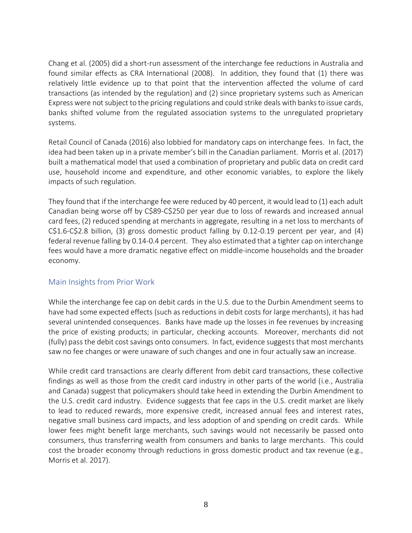Chang et al. (2005) did a short-run assessment of the interchange fee reductions in Australia and found similar effects as CRA International (2008). In addition, they found that (1) there was relatively little evidence up to that point that the intervention affected the volume of card transactions (as intended by the regulation) and (2) since proprietary systems such as American Express were not subject to the pricing regulations and could strike deals with banks to issue cards, banks shifted volume from the regulated association systems to the unregulated proprietary systems.

Retail Council of Canada (2016) also lobbied for mandatory caps on interchange fees. In fact, the idea had been taken up in a private member's bill in the Canadian parliament. Morris et al. (2017) built a mathematical model that used a combination of proprietary and public data on credit card use, household income and expenditure, and other economic variables, to explore the likely impacts of such regulation.

They found that if the interchange fee were reduced by 40 percent, it would lead to (1) each adult Canadian being worse off by C\$89-C\$250 per year due to loss of rewards and increased annual card fees, (2) reduced spending at merchants in aggregate, resulting in a net loss to merchants of C\$1.6-C\$2.8 billion, (3) gross domestic product falling by 0.12-0.19 percent per year, and (4) federal revenue falling by 0.14-0.4 percent. They also estimated that a tighter cap on interchange fees would have a more dramatic negative effect on middle-income households and the broader economy.

### <span id="page-7-0"></span>Main Insights from Prior Work

While the interchange fee cap on debit cards in the U.S. due to the Durbin Amendment seems to have had some expected effects (such as reductions in debit costs for large merchants), it has had several unintended consequences. Banks have made up the losses in fee revenues by increasing the price of existing products; in particular, checking accounts. Moreover, merchants did not (fully) pass the debit cost savings onto consumers. In fact, evidence suggests that most merchants saw no fee changes or were unaware of such changes and one in four actually saw an increase.

While credit card transactions are clearly different from debit card transactions, these collective findings as well as those from the credit card industry in other parts of the world (i.e., Australia and Canada) suggest that policymakers should take heed in extending the Durbin Amendment to the U.S. credit card industry. Evidence suggests that fee caps in the U.S. credit market are likely to lead to reduced rewards, more expensive credit, increased annual fees and interest rates, negative small business card impacts, and less adoption of and spending on credit cards. While lower fees might benefit large merchants, such savings would not necessarily be passed onto consumers, thus transferring wealth from consumers and banks to large merchants. This could cost the broader economy through reductions in gross domestic product and tax revenue (e.g., Morris et al. 2017).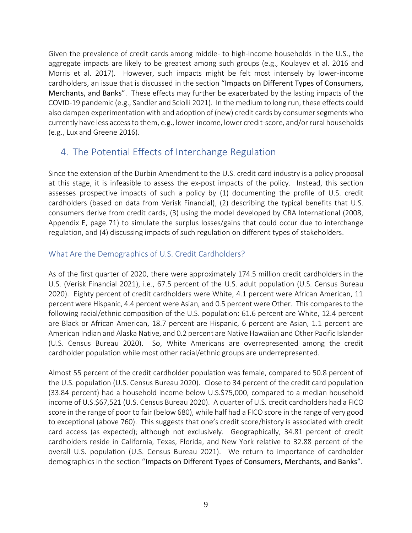Given the prevalence of credit cards among middle- to high-income households in the U.S., the aggregate impacts are likely to be greatest among such groups (e.g., Koulayev et al. 2016 and Morris et al. 2017). However, such impacts might be felt most intensely by lower-income cardholders, an issue that is discussed in the section "[Impacts on Different](#page-11-0) Types of Consumers, [Merchants, and Banks](#page-11-0)". These effects may further be exacerbated by the lasting impacts of the COVID-19 pandemic (e.g., Sandler and Sciolli 2021). In the medium to long run, these effects could also dampen experimentation with and adoption of (new) credit cards by consumer segments who currently have less access to them, e.g., lower-income, lower credit-score, and/or rural households (e.g., Lux and Greene 2016).

## <span id="page-8-0"></span>4. The Potential Effects of Interchange Regulation

Since the extension of the Durbin Amendment to the U.S. credit card industry is a policy proposal at this stage, it is infeasible to assess the ex-post impacts of the policy. Instead, this section assesses prospective impacts of such a policy by (1) documenting the profile of U.S. credit cardholders (based on data from Verisk Financial), (2) describing the typical benefits that U.S. consumers derive from credit cards, (3) using the model developed by CRA International (2008, Appendix E, page 71) to simulate the surplus losses/gains that could occur due to interchange regulation, and (4) discussing impacts of such regulation on different types of stakeholders.

## <span id="page-8-1"></span>What Are the Demographics of U.S. Credit Cardholders?

As of the first quarter of 2020, there were approximately 174.5 million credit cardholders in the U.S. (Verisk Financial 2021), i.e., 67.5 percent of the U.S. adult population (U.S. Census Bureau 2020). Eighty percent of credit cardholders were White, 4.1 percent were African American, 11 percent were Hispanic, 4.4 percent were Asian, and 0.5 percent were Other. This compares to the following racial/ethnic composition of the U.S. population: 61.6 percent are White, 12.4 percent are Black or African American, 18.7 percent are Hispanic, 6 percent are Asian, 1.1 percent are American Indian and Alaska Native, and 0.2 percent are Native Hawaiian and Other Pacific Islander (U.S. Census Bureau 2020). So, White Americans are overrepresented among the credit cardholder population while most other racial/ethnic groups are underrepresented.

Almost 55 percent of the credit cardholder population was female, compared to 50.8 percent of the U.S. population (U.S. Census Bureau 2020). Close to 34 percent of the credit card population (33.84 percent) had a household income below U.S.\$75,000, compared to a median household income of U.S.\$67,521 (U.S. Census Bureau 2020). A quarter of U.S. credit cardholders had a FICO score in the range of poor to fair (below 680), while half had a FICO score in the range of very good to exceptional (above 760). This suggests that one's credit score/history is associated with credit card access (as expected); although not exclusively. Geographically, 34.81 percent of credit cardholders reside in California, Texas, Florida, and New York relative to 32.88 percent of the overall U.S. population (U.S. Census Bureau 2021). We return to importance of cardholder demographics in the section "Impacts on Different Types of [Consumers, Merchants, and Banks](#page-11-0)".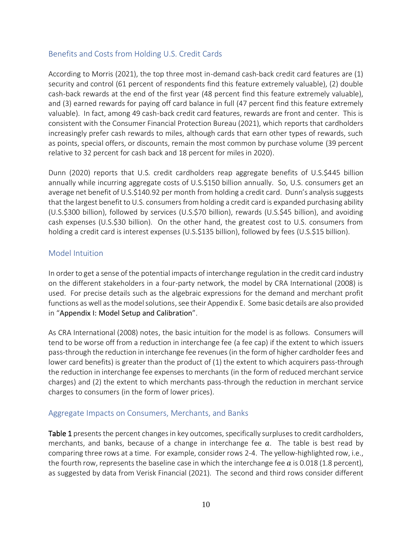### <span id="page-9-0"></span>Benefits and Costs from Holding U.S. Credit Cards

According to Morris (2021), the top three most in-demand cash-back credit card features are (1) security and control (61 percent of respondents find this feature extremely valuable), (2) double cash-back rewards at the end of the first year (48 percent find this feature extremely valuable), and (3) earned rewards for paying off card balance in full (47 percent find this feature extremely valuable). In fact, among 49 cash-back credit card features, rewards are front and center. This is consistent with the Consumer Financial Protection Bureau (2021), which reports that cardholders increasingly prefer cash rewards to miles, although cards that earn other types of rewards, such as points, special offers, or discounts, remain the most common by purchase volume (39 percent relative to 32 percent for cash back and 18 percent for miles in 2020).

Dunn (2020) reports that U.S. credit cardholders reap aggregate benefits of U.S.\$445 billion annually while incurring aggregate costs of U.S.\$150 billion annually. So, U.S. consumers get an average net benefit of U.S.\$140.92 per month from holding a credit card. Dunn's analysis suggests that the largest benefit to U.S. consumers from holding a credit card is expanded purchasing ability (U.S.\$300 billion), followed by services (U.S.\$70 billion), rewards (U.S.\$45 billion), and avoiding cash expenses (U.S.\$30 billion). On the other hand, the greatest cost to U.S. consumers from holding a credit card is interest expenses (U.S.\$135 billion), followed by fees (U.S.\$15 billion).

## <span id="page-9-1"></span>Model Intuition

In order to get a sense of the potential impacts of interchange regulation in the credit card industry on the different stakeholders in a four-party network, the model by CRA International (2008) is used. For precise details such as the algebraic expressions for the demand and merchant profit functions as well as the model solutions, see their Appendix E. Some basic details are also provided in "Appendix I: Model Setup [and Calibration](#page-16-0)".

As CRA International (2008) notes, the basic intuition for the model is as follows. Consumers will tend to be worse off from a reduction in interchange fee (a fee cap) if the extent to which issuers pass-through the reduction in interchange fee revenues (in the form of higher cardholder fees and lower card benefits) is greater than the product of (1) the extent to which acquirers pass-through the reduction in interchange fee expenses to merchants (in the form of reduced merchant service charges) and (2) the extent to which merchants pass-through the reduction in merchant service charges to consumers (in the form of lower prices).

### <span id="page-9-2"></span>Aggregate Impacts on Consumers, Merchants, and Banks

[Table 1](#page-18-1) presents the percent changes in key outcomes, specifically surpluses to credit cardholders, merchants, and banks, because of a change in interchange fee  $a$ . The table is best read by comparing three rows at a time. For example, consider rows 2-4. The yellow-highlighted row, i.e., the fourth row, represents the baseline case in which the interchange fee  $a$  is 0.018 (1.8 percent), as suggested by data from Verisk Financial (2021). The second and third rows consider different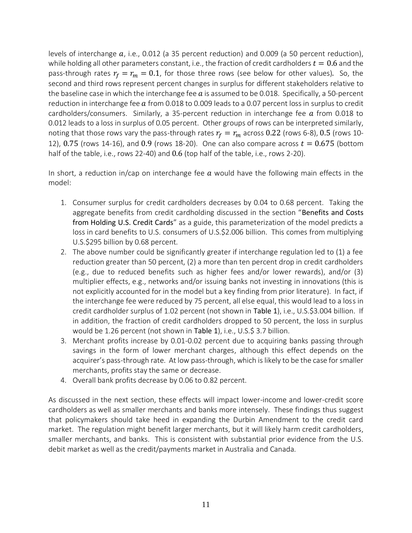levels of interchange  $a$ , i.e., 0.012 (a 35 percent reduction) and 0.009 (a 50 percent reduction), while holding all other parameters constant, i.e., the fraction of credit cardholders  $t = 0.6$  and the pass-through rates  $r_f = r_m = 0.1$ , for those three rows (see below for other values). So, the second and third rows represent percent changes in surplus for different stakeholders relative to the baseline case in which the interchange fee  $a$  is assumed to be 0.018. Specifically, a 50-percent reduction in interchange fee  $a$  from 0.018 to 0.009 leads to a 0.07 percent loss in surplus to credit cardholders/consumers. Similarly, a 35-percent reduction in interchange fee  $\alpha$  from 0.018 to 0.012 leads to a loss in surplus of 0.05 percent. Other groups of rows can be interpreted similarly, noting that those rows vary the pass-through rates  $r_f = r_m$  across 0.22 (rows 6-8), 0.5 (rows 10-12), 0.75 (rows 14-16), and 0.9 (rows 18-20). One can also compare across  $t = 0.675$  (bottom half of the table, i.e., rows 22-40) and 0.6 (top half of the table, i.e., rows 2-20).

In short, a reduction in/cap on interchange fee  $a$  would have the following main effects in the model:

- 1. Consumer surplus for credit cardholders decreases by 0.04 to 0.68 percent. Taking the aggregate benefits from credit cardholding discussed in the section "Benefits and Costs [from Holding U.S.](#page-9-0) Credit Cards" as a guide, this parameterization of the model predicts a loss in card benefits to U.S. consumers of U.S.\$2.006 billion. This comes from multiplying U.S.\$295 billion by 0.68 percent.
- 2. The above number could be significantly greater if interchange regulation led to (1) a fee reduction greater than 50 percent, (2) a more than ten percent drop in credit cardholders (e.g., due to reduced benefits such as higher fees and/or lower rewards), and/or (3) multiplier effects, e.g., networks and/or issuing banks not investing in innovations (this is not explicitly accounted for in the model but a key finding from prior literature). In fact, if the interchange fee were reduced by 75 percent, all else equal, this would lead to a loss in credit cardholder surplus of 1.02 percent (not shown in [Table 1](#page-18-1)), i.e., U.S.\$3.004 billion. If in addition, the fraction of credit cardholders dropped to 50 percent, the loss in surplus would be 1.26 percent (not shown in [Table 1](#page-18-1)), i.e., U.S.\$ 3.7 billion.
- 3. Merchant profits increase by 0.01-0.02 percent due to acquiring banks passing through savings in the form of lower merchant charges, although this effect depends on the acquirer's pass-through rate. At low pass-through, which is likely to be the case for smaller merchants, profits stay the same or decrease.
- 4. Overall bank profits decrease by 0.06 to 0.82 percent.

As discussed in the next section, these effects will impact lower-income and lower-credit score cardholders as well as smaller merchants and banks more intensely. These findings thus suggest that policymakers should take heed in expanding the Durbin Amendment to the credit card market. The regulation might benefit larger merchants, but it will likely harm credit cardholders, smaller merchants, and banks. This is consistent with substantial prior evidence from the U.S. debit market as well as the credit/payments market in Australia and Canada.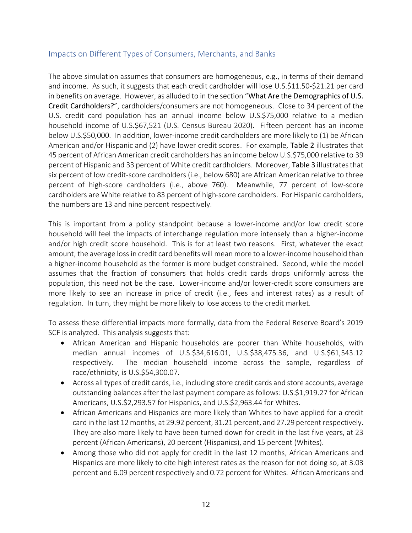#### <span id="page-11-0"></span>Impacts on Different Types of Consumers, Merchants, and Banks

The above simulation assumes that consumers are homogeneous, e.g., in terms of their demand and income. As such, it suggests that each credit cardholder will lose U.S.\$11.50-\$21.21 per card in benefits on average. However, as alluded to in the section "[What Are the Demographics of U.S.](#page-8-1) [Credit Cardholders?](#page-8-1)", cardholders/consumers are not homogeneous. Close to 34 percent of the U.S. credit card population has an annual income below U.S.\$75,000 relative to a median household income of U.S.\$67,521 (U.S. Census Bureau 2020). Fifteen percent has an income below U.S.\$50,000. In addition, lower-income credit cardholders are more likely to (1) be African American and/or Hispanic and (2) have lower credit scores. For example, [Table 2](#page-19-0) illustrates that 45 percent of African American credit cardholders has an income below U.S.\$75,000 relative to 39 percent of Hispanic and 33 percent of White credit cardholders. Moreover, [Table 3](#page-19-1) illustrates that six percent of low credit-score cardholders (i.e., below 680) are African American relative to three percent of high-score cardholders (i.e., above 760). Meanwhile, 77 percent of low-score cardholders are White relative to 83 percent of high-score cardholders. For Hispanic cardholders, the numbers are 13 and nine percent respectively.

This is important from a policy standpoint because a lower-income and/or low credit score household will feel the impacts of interchange regulation more intensely than a higher-income and/or high credit score household. This is for at least two reasons. First, whatever the exact amount, the average loss in credit card benefits will mean more to a lower-income household than a higher-income household as the former is more budget constrained. Second, while the model assumes that the fraction of consumers that holds credit cards drops uniformly across the population, this need not be the case. Lower-income and/or lower-credit score consumers are more likely to see an increase in price of credit (i.e., fees and interest rates) as a result of regulation. In turn, they might be more likely to lose access to the credit market.

To assess these differential impacts more formally, data from the Federal Reserve Board's 2019 SCF is analyzed. This analysis suggests that:

- African American and Hispanic households are poorer than White households, with median annual incomes of U.S.\$34,616.01, U.S.\$38,475.36, and U.S.\$61,543.12 respectively. The median household income across the sample, regardless of race/ethnicity, is U.S.\$54,300.07.
- Across all types of credit cards, i.e., including store credit cards and store accounts, average outstanding balances after the last payment compare as follows: U.S.\$1,919.27 for African Americans, U.S.\$2,293.57 for Hispanics, and U.S.\$2,963.44 for Whites.
- African Americans and Hispanics are more likely than Whites to have applied for a credit card in the last 12 months, at 29.92 percent, 31.21 percent, and 27.29 percent respectively. They are also more likely to have been turned down for credit in the last five years, at 23 percent (African Americans), 20 percent (Hispanics), and 15 percent (Whites).
- Among those who did not apply for credit in the last 12 months, African Americans and Hispanics are more likely to cite high interest rates as the reason for not doing so, at 3.03 percent and 6.09 percent respectively and 0.72 percent for Whites. African Americans and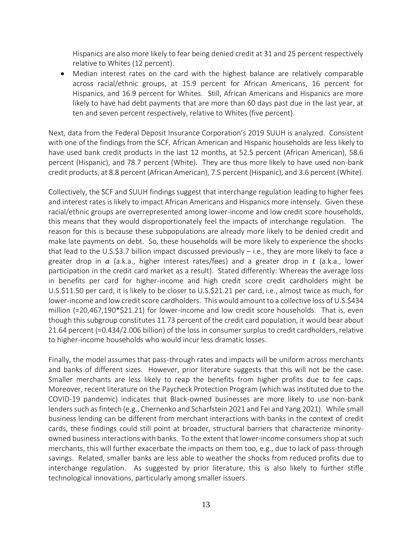Hispanics are also more likely to fear being denied credit at 31 and 25 percent respectively relative to Whites (12 percent).

• Median interest rates on the card with the highest balance are relatively comparable across racial/ethnic groups, at 15.9 percent for African Americans, 16 percent for Hispanics, and 16.9 percent for Whites. Still, African Americans and Hispanics are more likely to have had debt payments that are more than 60 days past due in the last year, at ten and seven percent respectively, relative to Whites (five percent).

Next, data from the Federal Deposit Insurance Corporation's 2019 SUUH is analyzed. Consistent with one of the findings from the SCF, African American and Hispanic households are less likely to have used bank credit products in the last 12 months, at 52.5 percent (African American), 58.6 percent (Hispanic), and 78.7 percent (White). They are thus more likely to have used non-bank credit products, at 8.8 percent (African American), 7.5 percent (Hispanic), and 3.6 percent (White).

Collectively, the SCF and SUUH findings suggest that interchange regulation leading to higher fees and interest rates is likely to impact African Americans and Hispanics more intensely. Given these racial/ethnic groups are overrepresented among lower-income and low credit score households, this means that they would disproportionately feel the impacts of interchange regulation. The reason for this is because these subpopulations are already more likely to be denied credit and make late payments on debt. So, these households will be more likely to experience the shocks that lead to the U.S.\$3.7 billion impact discussed previously – i.e., they are more likely to face a greater drop in  $\alpha$  (a.k.a., higher interest rates/fees) and a greater drop in  $t$  (a.k.a., lower participation in the credit card market as a result). Stated differently: Whereas the average loss in benefits per card for higher-income and high credit score credit cardholders might be U.S.\$11.50 per card, it is likely to be closer to U.S.\$21.21 per card, i.e., almost twice as much, for lower-income and low credit score cardholders. This would amount to a collective loss of U.S.\$434 million (=20,467,190\*\$21.21) for lower-income and low credit score households. That is, even though this subgroup constitutes 11.73 percent of the credit card population, it would bear about 21.64 percent (=0.434/2.006 billion) of the loss in consumer surplus to credit cardholders, relative to higher-income households who would incur less dramatic losses.

Finally, the model assumes that pass-through rates and impacts will be uniform across merchants and banks of different sizes. However, prior literature suggests that this will not be the case. Smaller merchants are less likely to reap the benefits from higher profits due to fee caps. Moreover, recent literature on the Paycheck Protection Program (which was instituted due to the COVID-19 pandemic) indicates that Black-owned businesses are more likely to use non-bank lenders such as fintech (e.g., Chernenko and Scharfstein 2021 and Fei and Yang 2021). While small business lending can be different from merchant interactions with banks in the context of credit cards, these findings could still point at broader, structural barriers that characterize minorityowned businessinteractions with banks. To the extent that lower-income consumers shop at such merchants, this will further exacerbate the impacts on them too, e.g., due to lack of pass-through savings. Related, smaller banks are less able to weather the shocks from reduced profits due to interchange regulation. As suggested by prior literature, this is also likely to further stifle technological innovations, particularly among smaller issuers.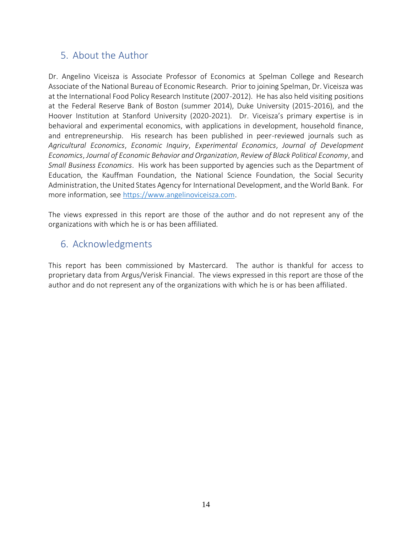## <span id="page-13-0"></span>5. About the Author

Dr. Angelino Viceisza is Associate Professor of Economics at Spelman College and Research Associate of the National Bureau of Economic Research. Prior to joining Spelman, Dr. Viceisza was at the International Food Policy Research Institute (2007-2012). He has also held visiting positions at the Federal Reserve Bank of Boston (summer 2014), Duke University (2015-2016), and the Hoover Institution at Stanford University (2020-2021). Dr. Viceisza's primary expertise is in behavioral and experimental economics, with applications in development, household finance, and entrepreneurship. His research has been published in peer-reviewed journals such as *Agricultural Economics*, *Economic Inquiry*, *Experimental Economics*, *Journal of Development Economics*, *Journal of Economic Behavior and Organization*, *Review of Black Political Economy*, and *Small Business Economics*. His work has been supported by agencies such as the Department of Education, the Kauffman Foundation, the National Science Foundation, the Social Security Administration, the United States Agency for International Development, and the World Bank. For more information, see [https://www.angelinoviceisza.com.](https://www.angelinoviceisza.com/)

The views expressed in this report are those of the author and do not represent any of the organizations with which he is or has been affiliated.

## <span id="page-13-1"></span>6. Acknowledgments

This report has been commissioned by Mastercard. The author is thankful for access to proprietary data from Argus/Verisk Financial. The views expressed in this report are those of the author and do not represent any of the organizations with which he is or has been affiliated.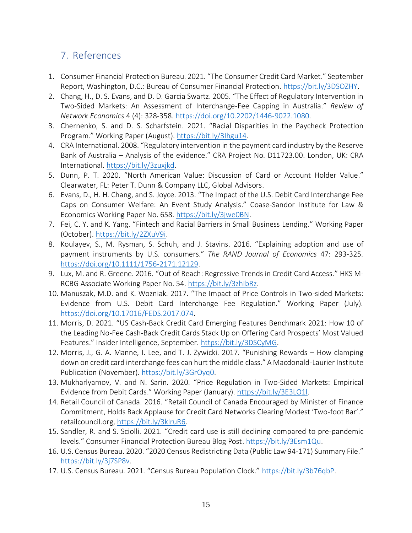# <span id="page-14-0"></span>7. References

- 1. Consumer Financial Protection Bureau. 2021. "The Consumer Credit Card Market." September Report, Washington, D.C.: Bureau of Consumer Financial Protection. [https://bit.ly/3DSOZHY.](https://bit.ly/3DSOZHY)
- 2. Chang, H., D. S. Evans, and D. D. Garcia Swartz. 2005. "The Effect of Regulatory Intervention in Two-Sided Markets: An Assessment of Interchange-Fee Capping in Australia." *Review of Network Economics* 4 (4): 328-358. [https://doi.org/10.2202/1446-9022.1080.](https://doi.org/10.2202/1446-9022.1080)
- 3. Chernenko, S. and D. S. Scharfstein. 2021. "Racial Disparities in the Paycheck Protection Program." Working Paper (August)[. https://bit.ly/3Ihgu14.](https://bit.ly/3Ihgu14)
- 4. CRA International. 2008. "Regulatory intervention in the payment card industry by the Reserve Bank of Australia – Analysis of the evidence." CRA Project No. D11723.00. London, UK: CRA International. [https://bit.ly/3zuxjkd.](https://bit.ly/3zuxjkd)
- 5. Dunn, P. T. 2020. "North American Value: Discussion of Card or Account Holder Value." Clearwater, FL: Peter T. Dunn & Company LLC, Global Advisors.
- 6. Evans, D., H. H. Chang, and S. Joyce. 2013. "The Impact of the U.S. Debit Card Interchange Fee Caps on Consumer Welfare: An Event Study Analysis." Coase-Sandor Institute for Law & Economics Working Paper No. 658. [https://bit.ly/3jwe0BN.](https://bit.ly/3jwe0BN)
- 7. Fei, C. Y. and K. Yang. "Fintech and Racial Barriers in Small Business Lending." Working Paper (October). [https://bit.ly/2ZXuV9i.](https://bit.ly/2ZXuV9i)
- 8. Koulayev, S., M. Rysman, S. Schuh, and J. Stavins. 2016. "Explaining adoption and use of payment instruments by U.S. consumers." *The RAND Journal of Economics* 47: 293-325. [https://doi.org/10.1111/1756-2171.12129.](https://doi.org/10.1111/1756-2171.12129)
- 9. Lux, M. and R. Greene. 2016. "Out of Reach: Regressive Trends in Credit Card Access." HKS M-RCBG Associate Working Paper No. 54. [https://bit.ly/3zhIbRz.](https://bit.ly/3zhIbRz)
- 10. Manuszak, M.D. and K. Wozniak. 2017. "The Impact of Price Controls in Two-sided Markets: Evidence from U.S. Debit Card Interchange Fee Regulation." Working Paper (July). [https://doi.org/10.17016/FEDS.2017.074.](https://doi.org/10.17016/FEDS.2017.074)
- 11. Morris, D. 2021. "US Cash-Back Credit Card Emerging Features Benchmark 2021: How 10 of the Leading No-Fee Cash-Back Credit Cards Stack Up on Offering Card Prospects' Most Valued Features." Insider Intelligence, September. [https://bit.ly/3DSCyMG.](https://bit.ly/3DSCyMG)
- 12. Morris, J., G. A. Manne, I. Lee, and T. J. Zywicki. 2017. "Punishing Rewards How clamping down on credit card interchange fees can hurt the middle class." A Macdonald-Laurier Institute Publication (November). [https://bit.ly/3GrOyq0.](https://bit.ly/3GrOyq0)
- 13. Mukharlyamov, V. and N. Sarin. 2020. "Price Regulation in Two-Sided Markets: Empirical Evidence from Debit Cards." Working Paper (January). [https://bit.ly/3E3LO1l.](https://bit.ly/3E3LO1l)
- 14. Retail Council of Canada. 2016. "Retail Council of Canada Encouraged by Minister of Finance Commitment, Holds Back Applause for Credit Card Networks Clearing Modest 'Two-foot Bar'." retailcouncil.org, [https://bit.ly/3klruR6.](https://bit.ly/3klruR6)
- 15. Sandler, R. and S. Sciolli. 2021. "Credit card use is still declining compared to pre-pandemic levels." Consumer Financial Protection Bureau Blog Post[. https://bit.ly/3Esm1Qu.](https://bit.ly/3Esm1Qu)
- 16. U.S. Census Bureau. 2020. "2020 Census Redistricting Data (Public Law 94-171) Summary File." [https://bit.ly/3j7SP8v.](https://bit.ly/3j7SP8v)
- 17. U.S. Census Bureau. 2021. "Census Bureau Population Clock." [https://bit.ly/3b76qbP.](https://bit.ly/3b76qbP)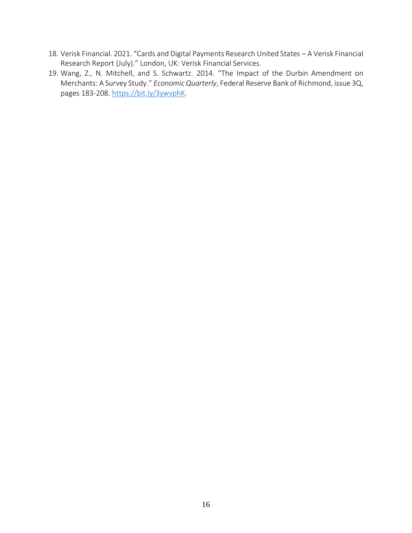- 18. Verisk Financial. 2021. "Cards and Digital Payments Research United States A Verisk Financial Research Report (July)." London, UK: Verisk Financial Services.
- 19. Wang, Z., N. Mitchell, and S. Schwartz. 2014. "The Impact of the Durbin Amendment on Merchants: A Survey Study." *Economic Quarterly*, Federal Reserve Bank of Richmond, issue 3Q, pages 183-208. [https://bit.ly/3ywvphK.](https://bit.ly/3ywvphK)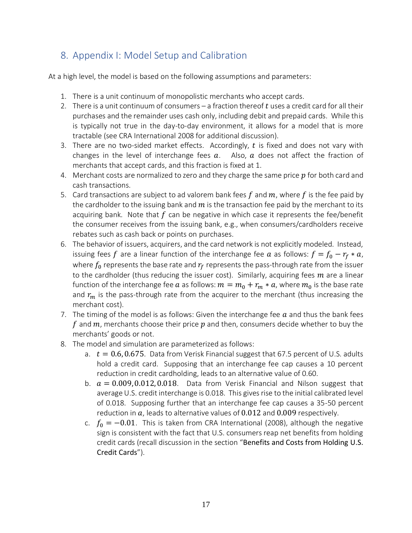# <span id="page-16-0"></span>8. Appendix I: Model Setup and Calibration

At a high level, the model is based on the following assumptions and parameters:

- 1. There is a unit continuum of monopolistic merchants who accept cards.
- 2. There is a unit continuum of consumers a fraction thereof  $t$  uses a credit card for all their purchases and the remainder uses cash only, including debit and prepaid cards. While this is typically not true in the day-to-day environment, it allows for a model that is more tractable (see CRA International 2008 for additional discussion).
- 3. There are no two-sided market effects. Accordingly,  $t$  is fixed and does not vary with changes in the level of interchange fees  $a$ . Also,  $a$  does not affect the fraction of merchants that accept cards, and this fraction is fixed at 1.
- 4. Merchant costs are normalized to zero and they charge the same price  $p$  for both card and cash transactions.
- 5. Card transactions are subject to ad valorem bank fees f and  $m$ , where f is the fee paid by the cardholder to the issuing bank and  $m$  is the transaction fee paid by the merchant to its acquiring bank. Note that  $f$  can be negative in which case it represents the fee/benefit the consumer receives from the issuing bank, e.g., when consumers/cardholders receive rebates such as cash back or points on purchases.
- 6. The behavior of issuers, acquirers, and the card network is not explicitly modeled. Instead, issuing fees f are a linear function of the interchange fee  $a$  as follows:  $f = f_0 - r_f * a$ , where  $f_0$  represents the base rate and  $r_{\!f}$  represents the pass-through rate from the issuer to the cardholder (thus reducing the issuer cost). Similarly, acquiring fees  $m$  are a linear function of the interchange fee  $a$  as follows:  $m=m_0+r_m\ast a$ , where  $m_0$  is the base rate and  $r_m$  is the pass-through rate from the acquirer to the merchant (thus increasing the merchant cost).
- 7. The timing of the model is as follows: Given the interchange fee  $a$  and thus the bank fees f and  $m$ , merchants choose their price  $p$  and then, consumers decide whether to buy the merchants' goods or not.
- 8. The model and simulation are parameterized as follows:
	- a.  $t = 0.6, 0.675$ . Data from Verisk Financial suggest that 67.5 percent of U.S. adults hold a credit card. Supposing that an interchange fee cap causes a 10 percent reduction in credit cardholding, leads to an alternative value of 0.60.
	- b.  $a = 0.009, 0.012, 0.018$ . Data from Verisk Financial and Nilson suggest that average U.S. credit interchange is 0.018. This gives rise to the initial calibrated level of 0.018. Supposing further that an interchange fee cap causes a 35-50 percent reduction in  $a$ , leads to alternative values of 0.012 and 0.009 respectively.
	- c.  $f_0 = -0.01$ . This is taken from CRA International (2008), although the negative sign is consistent with the fact that U.S. consumers reap net benefits from holding credit cards (recall discussion in the section "[Benefits and Costs from Holding U.S.](#page-9-0) [Credit Cards](#page-9-0)").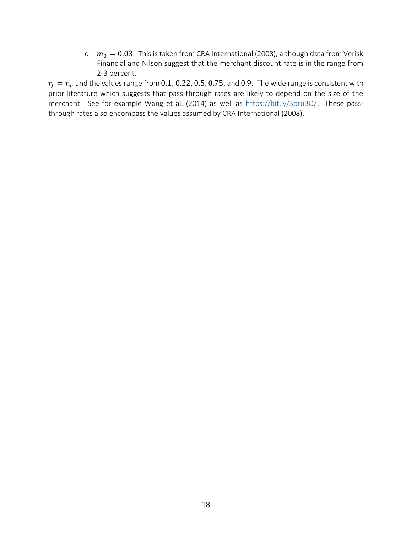d.  $m_0 = 0.03$ . This is taken from CRA International (2008), although data from Verisk Financial and Nilson suggest that the merchant discount rate is in the range from 2-3 percent.

 $r_f = r_m$  and the values range from 0.1, 0.22, 0.5, 0.75, and 0.9. The wide range is consistent with prior literature which suggests that pass-through rates are likely to depend on the size of the merchant. See for example Wang et al. (2014) as well as [https://bit.ly/3oru3C7.](https://bit.ly/3oru3C7) These passthrough rates also encompass the values assumed by CRA International (2008).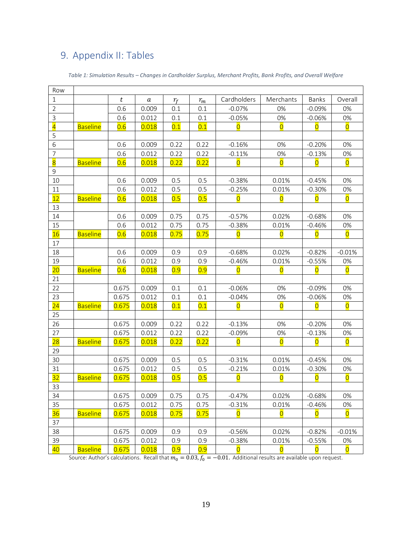# <span id="page-18-0"></span>9. Appendix II: Tables

<span id="page-18-1"></span>

| Row            |                 |       |       |       |       |                         |                         |                         |                         |
|----------------|-----------------|-------|-------|-------|-------|-------------------------|-------------------------|-------------------------|-------------------------|
| $\mathbf{1}$   |                 | t     | a     | $r_f$ | $r_m$ | Cardholders             | Merchants               | Banks                   | Overall                 |
| $\overline{2}$ |                 | 0.6   | 0.009 | 0.1   | 0.1   | $-0.07%$                | 0%                      | $-0.09%$                | 0%                      |
| $\mathsf 3$    |                 | 0.6   | 0.012 | 0.1   | 0.1   | $-0.05%$                | 0%                      | $-0.06%$                | 0%                      |
| $\overline{4}$ | <b>Baseline</b> | 0.6   | 0.018 | 0.1   | 0.1   | $\overline{0}$          | $\overline{O}$          | $\overline{0}$          | $\overline{\mathsf{O}}$ |
| 5              |                 |       |       |       |       |                         |                         |                         |                         |
| 6              |                 | 0.6   | 0.009 | 0.22  | 0.22  | $-0.16%$                | 0%                      | $-0.20%$                | 0%                      |
| $\overline{7}$ |                 | 0.6   | 0.012 | 0.22  | 0.22  | $-0.11%$                | 0%                      | $-0.13%$                | 0%                      |
| $\overline{8}$ | <b>Baseline</b> | 0.6   | 0.018 | 0.22  | 0.22  | $\overline{0}$          | $\overline{0}$          | $\overline{O}$          | $\overline{\mathbf{0}}$ |
| 9              |                 |       |       |       |       |                         |                         |                         |                         |
| 10             |                 | 0.6   | 0.009 | 0.5   | 0.5   | $-0.38%$                | 0.01%                   | $-0.45%$                | 0%                      |
| 11             |                 | 0.6   | 0.012 | 0.5   | 0.5   | $-0.25%$                | 0.01%                   | $-0.30%$                | 0%                      |
| 12             | <b>Baseline</b> | 0.6   | 0.018 | 0.5   | 0.5   | $\overline{0}$          | $\overline{0}$          | $\overline{0}$          | $\overline{0}$          |
| 13             |                 |       |       |       |       |                         |                         |                         |                         |
| 14             |                 | 0.6   | 0.009 | 0.75  | 0.75  | $-0.57%$                | 0.02%                   | $-0.68%$                | 0%                      |
| 15             |                 | 0.6   | 0.012 | 0.75  | 0.75  | $-0.38%$                | 0.01%                   | $-0.46%$                | 0%                      |
| 16             | <b>Baseline</b> | 0.6   | 0.018 | 0.75  | 0.75  | $\overline{0}$          | $\overline{0}$          | $\overline{\mathbf{0}}$ | $\overline{O}$          |
| 17             |                 |       |       |       |       |                         |                         |                         |                         |
| 18             |                 | 0.6   | 0.009 | 0.9   | 0.9   | $-0.68%$                | 0.02%                   | $-0.82%$                | $-0.01%$                |
| 19             |                 | 0.6   | 0.012 | 0.9   | 0.9   | $-0.46%$                | 0.01%                   | $-0.55%$                | 0%                      |
| 20             | <b>Baseline</b> | 0.6   | 0.018 | 0.9   | 0.9   | $\overline{0}$          | $\overline{0}$          | $\overline{0}$          | $\overline{0}$          |
| 21             |                 |       |       |       |       |                         |                         |                         |                         |
| 22             |                 | 0.675 | 0.009 | 0.1   | 0.1   | $-0.06%$                | 0%                      | $-0.09%$                | 0%                      |
| 23             |                 | 0.675 | 0.012 | 0.1   | 0.1   | $-0.04%$                | 0%                      | $-0.06%$                | 0%                      |
| 24             | <b>Baseline</b> | 0.675 | 0.018 | 0.1   | 0.1   | $\overline{0}$          | $\overline{0}$          | $\overline{0}$          | $\overline{\mathsf{O}}$ |
| 25             |                 |       |       |       |       |                         |                         |                         |                         |
| 26             |                 | 0.675 | 0.009 | 0.22  | 0.22  | $-0.13%$                | 0%                      | $-0.20%$                | 0%                      |
| 27             |                 | 0.675 | 0.012 | 0.22  | 0.22  | $-0.09%$                | 0%                      | $-0.13%$                | 0%                      |
| 28             | <b>Baseline</b> | 0.675 | 0.018 | 0.22  | 0.22  | $\overline{0}$          | $\overline{O}$          | $\overline{0}$          | $\overline{O}$          |
| 29             |                 |       |       |       |       |                         |                         |                         |                         |
| 30             |                 | 0.675 | 0.009 | 0.5   | 0.5   | $-0.31%$                | 0.01%                   | $-0.45%$                | 0%                      |
| 31             |                 | 0.675 | 0.012 | 0.5   | 0.5   | $-0.21%$                | 0.01%                   | $-0.30%$                | 0%                      |
| 32             | <b>Baseline</b> | 0.675 | 0.018 | 0.5   | 0.5   | $\overline{O}$          | $\overline{O}$          | $\overline{0}$          | $\overline{O}$          |
| 33             |                 |       |       |       |       |                         |                         |                         |                         |
| 34             |                 | 0.675 | 0.009 | 0.75  | 0.75  | $-0.47%$                | 0.02%                   | $-0.68%$                | 0%                      |
| 35             |                 | 0.675 | 0.012 | 0.75  | 0.75  | $-0.31%$                | 0.01%                   | $-0.46%$                | 0%                      |
| 36             | <b>Baseline</b> | 0.675 | 0.018 | 0.75  | 0.75  | $\overline{0}$          | $\overline{\mathbf{0}}$ | $\overline{\mathsf{O}}$ | $\overline{\mathsf{O}}$ |
| 37             |                 |       |       |       |       |                         |                         |                         |                         |
| 38             |                 | 0.675 | 0.009 | 0.9   | 0.9   | $-0.56%$                | 0.02%                   | $-0.82%$                | $-0.01%$                |
| 39             |                 | 0.675 | 0.012 | 0.9   | 0.9   | $-0.38%$                | 0.01%                   | $-0.55%$                | 0%                      |
| 40             | <b>Baseline</b> | 0.675 | 0.018 | 0.9   | 0.9   | $\overline{\mathsf{O}}$ | $\overline{\mathsf{O}}$ | $\overline{\mathsf{O}}$ | $\overline{\mathsf{O}}$ |

#### *Table 1: Simulation Results – Changes in Cardholder Surplus, Merchant Profits, Bank Profits, and Overall Welfare*

Source: Author's calculations. Recall that  $m_0 = 0.03$ ,  $f_0 = -0.01$ . Additional results are available upon request.